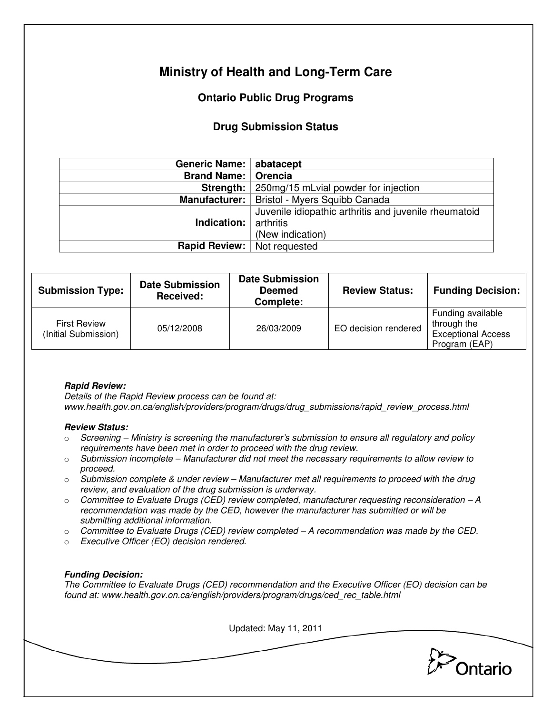# **Ministry of Health and Long-Term Care**

## **Ontario Public Drug Programs**

### **Drug Submission Status**

| Generic Name:                      | abatacept                                             |  |  |
|------------------------------------|-------------------------------------------------------|--|--|
| <b>Brand Name:</b>                 | Orencia                                               |  |  |
| Strength:                          | 250mg/15 mLvial powder for injection                  |  |  |
|                                    | Manufacturer:   Bristol - Myers Squibb Canada         |  |  |
|                                    | Juvenile idiopathic arthritis and juvenile rheumatoid |  |  |
| Indication:                        | arthritis                                             |  |  |
|                                    | (New indication)                                      |  |  |
| <b>Rapid Review:</b> Not requested |                                                       |  |  |
|                                    |                                                       |  |  |

| <b>Submission Type:</b>                     | <b>Date Submission</b><br>Received: | <b>Date Submission</b><br><b>Deemed</b><br>Complete: | <b>Review Status:</b> | <b>Funding Decision:</b>                                                       |
|---------------------------------------------|-------------------------------------|------------------------------------------------------|-----------------------|--------------------------------------------------------------------------------|
| <b>First Review</b><br>(Initial Submission) | 05/12/2008                          | 26/03/2009                                           | EO decision rendered  | Funding available<br>through the<br><b>Exceptional Access</b><br>Program (EAP) |

#### **Rapid Review:**

Details of the Rapid Review process can be found at: www.health.gov.on.ca/english/providers/program/drugs/drug\_submissions/rapid\_review\_process.html

#### **Review Status:**

- $\circ$  Screening Ministry is screening the manufacturer's submission to ensure all regulatory and policy requirements have been met in order to proceed with the drug review.
- $\circ$  Submission incomplete Manufacturer did not meet the necessary requirements to allow review to proceed.
- $\circ$  Submission complete & under review Manufacturer met all requirements to proceed with the drug review, and evaluation of the drug submission is underway.
- $\circ$  Committee to Evaluate Drugs (CED) review completed, manufacturer requesting reconsideration A recommendation was made by the CED, however the manufacturer has submitted or will be submitting additional information.
- $\circ$  Committee to Evaluate Drugs (CED) review completed  $-A$  recommendation was made by the CED.
- o Executive Officer (EO) decision rendered.

#### **Funding Decision:**

The Committee to Evaluate Drugs (CED) recommendation and the Executive Officer (EO) decision can be found at: www.health.gov.on.ca/english/providers/program/drugs/ced\_rec\_table.html

Updated: May 11, 2011